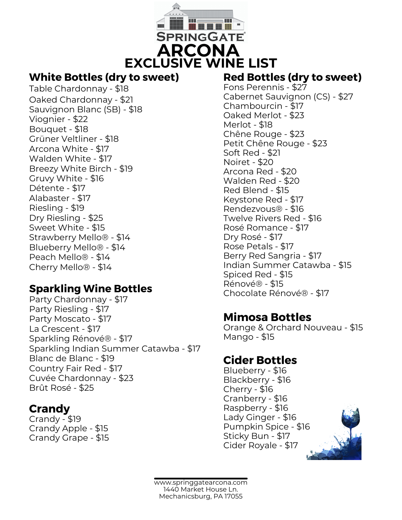

### **White Bottles (dry to sweet)**

Table Chardonnay - \$18 Oaked Chardonnay - \$21 Sauvignon Blanc (SB) - \$18 Viognier - \$22 Bouquet - \$18 Grüner Veltliner - \$18 Arcona White - \$17 Walden White - \$17 Breezy White Birch - \$19 Gruvy White - \$16 Détente - \$17 Alabaster - \$17 Riesling - \$19 Dry Riesling - \$25 Sweet White - \$15 Strawberry Mello® - \$14 Blueberry Mello® - \$14 Peach Mello® - \$14 Cherry Mello® - \$14

## **Sparkling Wine Bottles**

Party Chardonnay - \$17 Party Riesling - \$17 Party Moscato - \$17 La Crescent - \$17 Sparkling Rénové® - \$17 Sparkling Indian Summer Catawba - \$17 Blanc de Blanc - \$19 Country Fair Red - \$17 Cuvée Chardonnay - \$23 Brût Rosé - \$25

## **Crandy**

Crandy - \$19 Crandy Apple - \$15 Crandy Grape - \$15

## **Red Bottles (dry to sweet)**

Fons Perennis - \$27 Cabernet Sauvignon (CS) - \$27 Chambourcin - \$17 Oaked Merlot - \$23 Merlot - \$18 Chêne Rouge - \$23 Petit Chêne Rouge - \$23 Soft Red - \$21 Noiret - \$20 Arcona Red - \$20 Walden Red - \$20 Red Blend - \$15 Keystone Red - \$17 Rendezvous® - \$16 Twelve Rivers Red - \$16 Rosé Romance - \$17 Dry Rosé - \$17 Rose Petals - \$17 Berry Red Sangria - \$17 Indian Summer Catawba - \$15 Spiced Red - \$15 Rénové® - \$15 Chocolate Rénové® - \$17

# **Mimosa Bottles**

Orange & Orchard Nouveau - \$15 Mango - \$15

# **Cider Bottles**

Blueberry - \$16 Blackberry - \$16 Cherry - \$16 Cranberry - \$16 Raspberry - \$16 Lady Ginger - \$16 Pumpkin Spice - \$16 Sticky Bun - \$17 Cider Royale - \$17



www.springgatearcona.com 1440 Market House Ln. Mechanicsburg, PA 17055